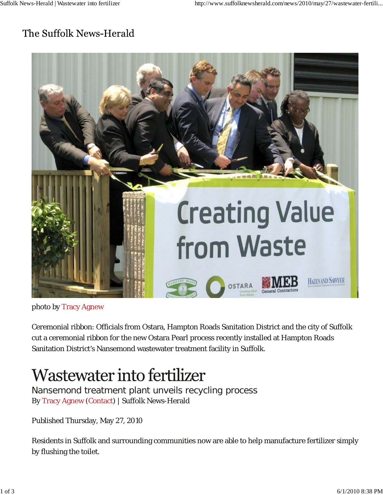## The Suffolk News-Herald



photo by Tracy Agnew

Ceremonial ribbon: Officials from Ostara, Hampton Roads Sanitation District and the city of Suffolk cut a ceremonial ribbon for the new Ostara Pearl process recently installed at Hampton Roads Sanitation District's Nansemond wastewater treatment facility in Suffolk.

## Wastewater into fertilizer

Nansemond treatment plant unveils recycling process By Tracy Agnew (Contact) | Suffolk News-Herald

Published Thursday, May 27, 2010

Residents in Suffolk and surrounding communities now are able to help manufacture fertilizer simply by flushing the toilet.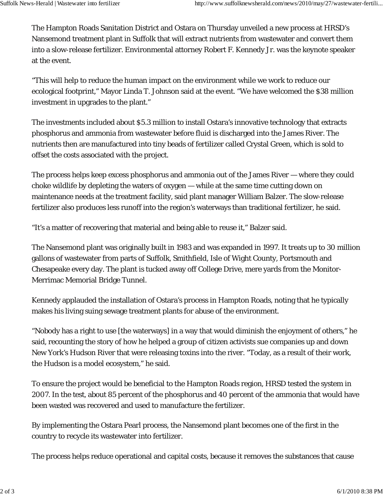The Hampton Roads Sanitation District and Ostara on Thursday unveiled a new process at HRSD's Nansemond treatment plant in Suffolk that will extract nutrients from wastewater and convert them into a slow-release fertilizer. Environmental attorney Robert F. Kennedy Jr. was the keynote speaker at the event.

"This will help to reduce the human impact on the environment while we work to reduce our ecological footprint," Mayor Linda T. Johnson said at the event. "We have welcomed the \$38 million investment in upgrades to the plant."

The investments included about \$5.3 million to install Ostara's innovative technology that extracts phosphorus and ammonia from wastewater before fluid is discharged into the James River. The nutrients then are manufactured into tiny beads of fertilizer called Crystal Green, which is sold to offset the costs associated with the project.

The process helps keep excess phosphorus and ammonia out of the James River — where they could choke wildlife by depleting the waters of oxygen — while at the same time cutting down on maintenance needs at the treatment facility, said plant manager William Balzer. The slow-release fertilizer also produces less runoff into the region's waterways than traditional fertilizer, he said.

"It's a matter of recovering that material and being able to reuse it," Balzer said.

The Nansemond plant was originally built in 1983 and was expanded in 1997. It treats up to 30 million gallons of wastewater from parts of Suffolk, Smithfield, Isle of Wight County, Portsmouth and Chesapeake every day. The plant is tucked away off College Drive, mere yards from the Monitor-Merrimac Memorial Bridge Tunnel.

Kennedy applauded the installation of Ostara's process in Hampton Roads, noting that he typically makes his living suing sewage treatment plants for abuse of the environment.

"Nobody has a right to use [the waterways] in a way that would diminish the enjoyment of others," he said, recounting the story of how he helped a group of citizen activists sue companies up and down New York's Hudson River that were releasing toxins into the river. "Today, as a result of their work, the Hudson is a model ecosystem," he said.

To ensure the project would be beneficial to the Hampton Roads region, HRSD tested the system in 2007. In the test, about 85 percent of the phosphorus and 40 percent of the ammonia that would have been wasted was recovered and used to manufacture the fertilizer.

By implementing the Ostara Pearl process, the Nansemond plant becomes one of the first in the country to recycle its wastewater into fertilizer.

The process helps reduce operational and capital costs, because it removes the substances that cause